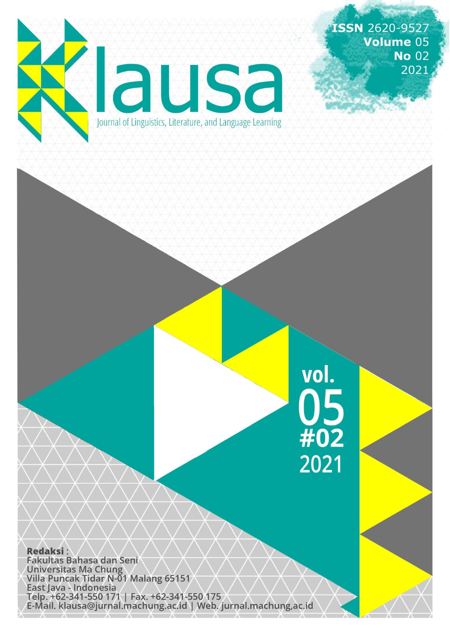<span id="page-0-9"></span><span id="page-0-8"></span><span id="page-0-7"></span><span id="page-0-6"></span><span id="page-0-5"></span><span id="page-0-4"></span><span id="page-0-3"></span><span id="page-0-2"></span><span id="page-0-1"></span><span id="page-0-0"></span>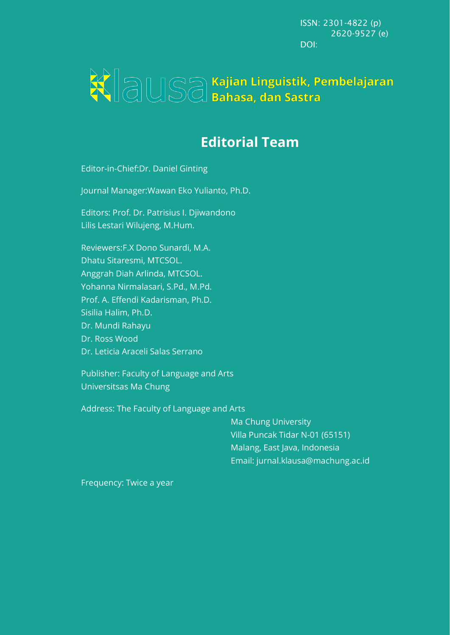ISSN: 2301-4822 (p) 2620-9527 (e) DOI:

# WIAUSA Kajian Linguistik, Pembelajaran

# **Editorial Team**

Editor-in-Chief:Dr. Daniel Ginting

Journal Manager:Wawan Eko Yulianto, Ph.D.

Editors: Prof. Dr. Patrisius I. Djiwandono Lilis Lestari Wilujeng, M.Hum.

Reviewers:F.X Dono Sunardi, M.A. Dhatu Sitaresmi, MTCSOL. Anggrah Diah Arlinda, MTCSOL. Yohanna Nirmalasari, S.Pd., M.Pd. Prof. A. Effendi Kadarisman, Ph.D. Sisilia Halim, Ph.D. Dr. Mundi Rahayu Dr. Ross Wood Dr. Leticia Araceli Salas Serrano

Publisher: Faculty of Language and Arts Universitsas Ma Chung

Address: The Faculty of Language and Arts

Ma Chung University Villa Puncak Tidar N-01 (65151) Malang, East Java, Indonesia Email: jurnal.klausa@machung.ac.id

Frequency: Twice a year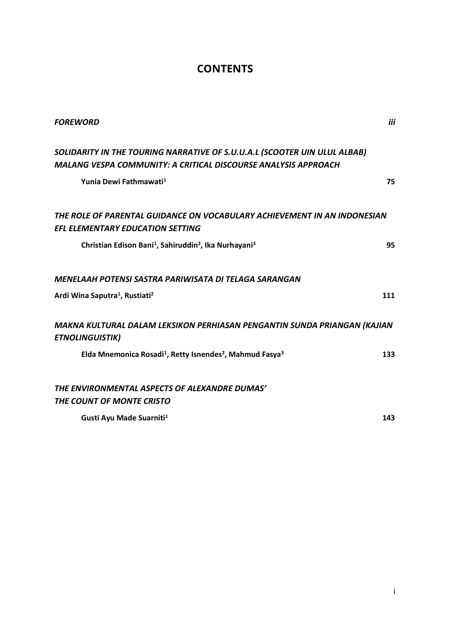# **CONTENTS**

| <b>FOREWORD</b>                                                                                                                             | iii |
|---------------------------------------------------------------------------------------------------------------------------------------------|-----|
| SOLIDARITY IN THE TOURING NARRATIVE OF S.U.U.A.L (SCOOTER UIN ULUL ALBAB)<br>MALANG VESPA COMMUNITY: A CRITICAL DISCOURSE ANALYSIS APPROACH |     |
| Yunia Dewi Fathmawati <sup>1</sup>                                                                                                          | 75  |
| THE ROLE OF PARENTAL GUIDANCE ON VOCABULARY ACHIEVEMENT IN AN INDONESIAN<br><b>EFL ELEMENTARY EDUCATION SETTING</b>                         |     |
| Christian Edison Bani <sup>1</sup> , Sahiruddin <sup>2</sup> , Ika Nurhayani <sup>3</sup>                                                   | 95  |
| MENELAAH POTENSI SASTRA PARIWISATA DI TELAGA SARANGAN                                                                                       |     |
| Ardi Wina Saputra <sup>1</sup> , Rustiati <sup>2</sup>                                                                                      | 111 |
| MAKNA KULTURAL DALAM LEKSIKON PERHIASAN PENGANTIN SUNDA PRIANGAN (KAJIAN<br><b>ETNOLINGUISTIK)</b>                                          |     |
| Elda Mnemonica Rosadi <sup>1</sup> , Retty Isnendes <sup>2</sup> , Mahmud Fasya <sup>3</sup>                                                | 133 |
| THE ENVIRONMENTAL ASPECTS OF ALEXANDRE DUMAS'                                                                                               |     |
| THE COUNT OF MONTE CRISTO                                                                                                                   |     |
| Gusti Ayu Made Suarniti <sup>1</sup>                                                                                                        | 143 |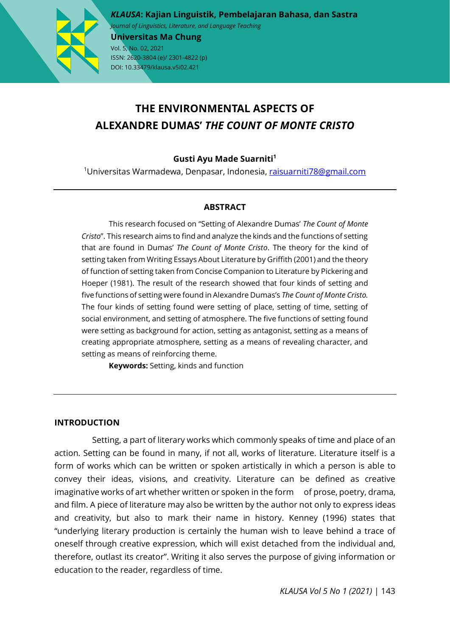

*KLAUSA***: Kajian Linguistik, Pembelajaran Bahasa, dan Sastra** *Journal of Linguistics, Literature, and Language Teaching* 

**Universitas Ma Chung** Vol. 5, No. 02, 2021 ISSN: 2620-3804 (e)/ 2301-4822 (p) DOI: 10.33479/klausa.v5i02.421

# **THE ENVIRONMENTAL ASPECTS OF ALEXANDRE DUMAS'** *THE COUNT OF MONTE CRISTO*

# **Gusti Ayu Made Suarniti1**

<sup>1</sup>Universitas Warmadewa, Denpasar, Indonesia, <u>[raisuarniti78@gmail.com](mailto:raisuarniti78@gmail.com)</u>

# **ABSTRACT**

This research focused on "Setting of Alexandre Dumas' *The Count of Monte Cristo*". This research aims to find and analyze the kinds and the functions of setting that are found in Dumas' *The Count of Monte Cristo*. The theory for the kind of setting taken from Writing Essays About Literature by Griffith (2001) and the theory of function of setting taken from Concise Companion to Literature by Pickering and Hoeper (1981). The result of the research showed that four kinds of setting and five functions of setting were found in Alexandre Dumas's *The Count of Monte Cristo.* The four kinds of setting found were setting of place, setting of time, setting of social environment, and setting of atmosphere. The five functions of setting found were setting as background for action, setting as antagonist, setting as a means of creating appropriate atmosphere, setting as a means of revealing character, and setting as means of reinforcing theme.

**Keywords:** Setting, kinds and function

# **INTRODUCTION**

 Setting, a part of literary works which commonly speaks of time and place of an action. Setting can be found in many, if not all, works of literature. Literature itself is a form of works which can be written or spoken artistically in which a person is able to convey their ideas, visions, and creativity. Literature can be defined as creative imaginative works of art whether written or spoken in the form of prose, poetry, drama, and film. A piece of literature may also be written by the author not only to express ideas and creativity, but also to mark their name in history. Kenney (1996) states that "underlying literary production is certainly the human wish to leave behind a trace of oneself through creative expression, which will exist detached from the individual and, therefore, outlast its creator". Writing it also serves the purpose of giving information or education to the reader, regardless of time.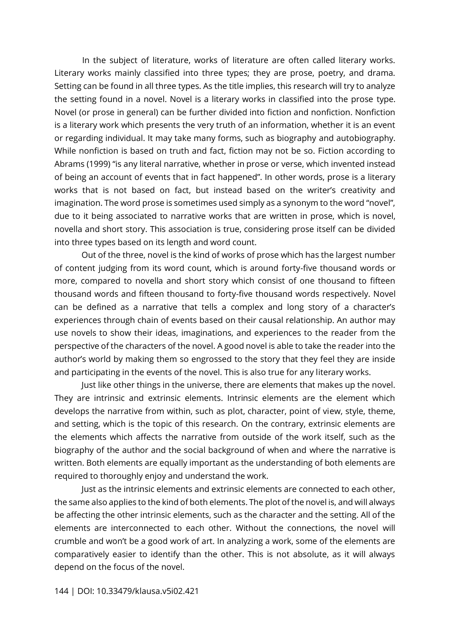In the subject of literature, works of literature are often called literary works. Literary works mainly classified into three types; they are prose, poetry, and drama. Setting can be found in all three types. As the title implies, this research will try to analyze the setting found in a novel. Novel is a literary works in classified into the prose type. Novel (or prose in general) can be further divided into fiction and nonfiction. Nonfiction is a literary work which presents the very truth of an information, whether it is an event or regarding individual. It may take many forms, such as biography and autobiography. While nonfiction is based on truth and fact, fiction may not be so. Fiction according to Abrams (1999) "is any literal narrative, whether in prose or verse, which invented instead of being an account of events that in fact happened". In other words, prose is a literary works that is not based on fact, but instead based on the writer's creativity and imagination. The word prose is sometimes used simply as a synonym to the word "novel", due to it being associated to narrative works that are written in prose, which is novel, novella and short story. This association is true, considering prose itself can be divided into three types based on its length and word count.

Out of the three, novel is the kind of works of prose which has the largest number of content judging from its word count, which is around forty-five thousand words or more, compared to novella and short story which consist of one thousand to fifteen thousand words and fifteen thousand to forty-five thousand words respectively. Novel can be defined as a narrative that tells a complex and long story of a character's experiences through chain of events based on their causal relationship. An author may use novels to show their ideas, imaginations, and experiences to the reader from the perspective of the characters of the novel. A good novel is able to take the reader into the author's world by making them so engrossed to the story that they feel they are inside and participating in the events of the novel. This is also true for any literary works.

Just like other things in the universe, there are elements that makes up the novel. They are intrinsic and extrinsic elements. Intrinsic elements are the element which develops the narrative from within, such as plot, character, point of view, style, theme, and setting, which is the topic of this research. On the contrary, extrinsic elements are the elements which affects the narrative from outside of the work itself, such as the biography of the author and the social background of when and where the narrative is written. Both elements are equally important as the understanding of both elements are required to thoroughly enjoy and understand the work.

Just as the intrinsic elements and extrinsic elements are connected to each other, the same also applies to the kind of both elements. The plot of the novel is, and will always be affecting the other intrinsic elements, such as the character and the setting. All of the elements are interconnected to each other. Without the connections, the novel will crumble and won't be a good work of art. In analyzing a work, some of the elements are comparatively easier to identify than the other. This is not absolute, as it will always depend on the focus of the novel.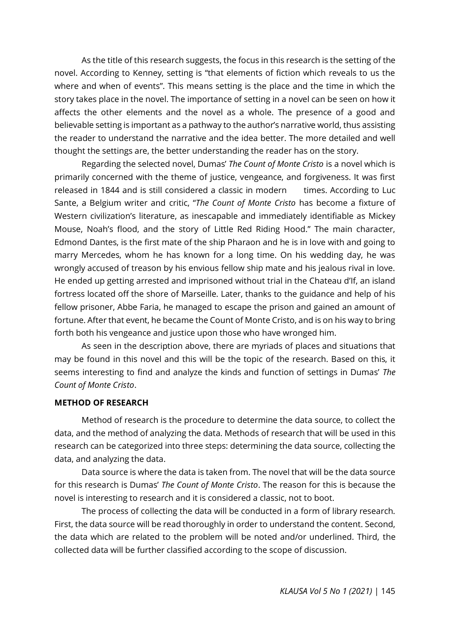As the title of this research suggests, the focus in this research is the setting of the novel. According to Kenney, setting is "that elements of fiction which reveals to us the where and when of events". This means setting is the place and the time in which the story takes place in the novel. The importance of setting in a novel can be seen on how it affects the other elements and the novel as a whole. The presence of a good and believable setting is important as a pathway to the author's narrative world, thus assisting the reader to understand the narrative and the idea better. The more detailed and well thought the settings are, the better understanding the reader has on the story.

Regarding the selected novel, Dumas' *The Count of Monte Cristo* is a novel which is primarily concerned with the theme of justice, vengeance, and forgiveness. It was first released in 1844 and is still considered a classic in modern times. According to Luc Sante, a Belgium writer and critic, "*The Count of Monte Cristo* has become a fixture of Western civilization's literature, as inescapable and immediately identifiable as Mickey Mouse, Noah's flood, and the story of Little Red Riding Hood." The main character, Edmond Dantes, is the first mate of the ship Pharaon and he is in love with and going to marry Mercedes, whom he has known for a long time. On his wedding day, he was wrongly accused of treason by his envious fellow ship mate and his jealous rival in love. He ended up getting arrested and imprisoned without trial in the Chateau d'If, an island fortress located off the shore of Marseille. Later, thanks to the guidance and help of his fellow prisoner, Abbe Faria, he managed to escape the prison and gained an amount of fortune. After that event, he became the Count of Monte Cristo, and is on his way to bring forth both his vengeance and justice upon those who have wronged him.

As seen in the description above, there are myriads of places and situations that may be found in this novel and this will be the topic of the research. Based on this, it seems interesting to find and analyze the kinds and function of settings in Dumas' *The Count of Monte Cristo*.

### **METHOD OF RESEARCH**

Method of research is the procedure to determine the data source, to collect the data, and the method of analyzing the data. Methods of research that will be used in this research can be categorized into three steps: determining the data source, collecting the data, and analyzing the data.

Data source is where the data is taken from. The novel that will be the data source for this research is Dumas' *The Count of Monte Cristo*. The reason for this is because the novel is interesting to research and it is considered a classic, not to boot.

The process of collecting the data will be conducted in a form of library research. First, the data source will be read thoroughly in order to understand the content. Second, the data which are related to the problem will be noted and/or underlined. Third, the collected data will be further classified according to the scope of discussion.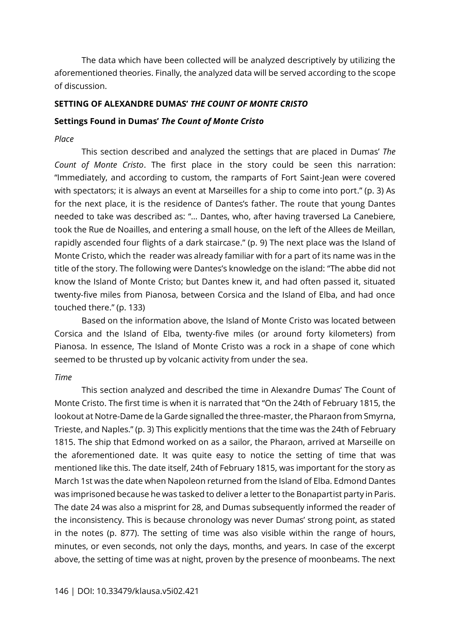The data which have been collected will be analyzed descriptively by utilizing the aforementioned theories. Finally, the analyzed data will be served according to the scope of discussion.

### **SETTING OF ALEXANDRE DUMAS'** *THE COUNT OF MONTE CRISTO*

#### **Settings Found in Dumas'** *The Count of Monte Cristo*

#### *Place*

This section described and analyzed the settings that are placed in Dumas' *The Count of Monte Cristo*. The first place in the story could be seen this narration: "Immediately, and according to custom, the ramparts of Fort Saint-Jean were covered with spectators; it is always an event at Marseilles for a ship to come into port." (p. 3) As for the next place, it is the residence of Dantes's father. The route that young Dantes needed to take was described as: "… Dantes, who, after having traversed La Canebiere, took the Rue de Noailles, and entering a small house, on the left of the Allees de Meillan, rapidly ascended four flights of a dark staircase." (p. 9) The next place was the Island of Monte Cristo, which the reader was already familiar with for a part of its name was in the title of the story. The following were Dantes's knowledge on the island: "The abbe did not know the Island of Monte Cristo; but Dantes knew it, and had often passed it, situated twenty-five miles from Pianosa, between Corsica and the Island of Elba, and had once touched there." (p. 133)

Based on the information above, the Island of Monte Cristo was located between Corsica and the Island of Elba, twenty-five miles (or around forty kilometers) from Pianosa. In essence, The Island of Monte Cristo was a rock in a shape of cone which seemed to be thrusted up by volcanic activity from under the sea.

# *Time*

This section analyzed and described the time in Alexandre Dumas' The Count of Monte Cristo. The first time is when it is narrated that "On the 24th of February 1815, the lookout at Notre-Dame de la Garde signalled the three-master, the Pharaon from Smyrna, Trieste, and Naples." (p. 3) This explicitly mentions that the time was the 24th of February 1815. The ship that Edmond worked on as a sailor, the Pharaon, arrived at Marseille on the aforementioned date. It was quite easy to notice the setting of time that was mentioned like this. The date itself, 24th of February 1815, was important for the story as March 1st was the date when Napoleon returned from the Island of Elba. Edmond Dantes was imprisoned because he was tasked to deliver a letter to the Bonapartist party in Paris. The date 24 was also a misprint for 28, and Dumas subsequently informed the reader of the inconsistency. This is because chronology was never Dumas' strong point, as stated in the notes (p. 877). The setting of time was also visible within the range of hours, minutes, or even seconds, not only the days, months, and years. In case of the excerpt above, the setting of time was at night, proven by the presence of moonbeams. The next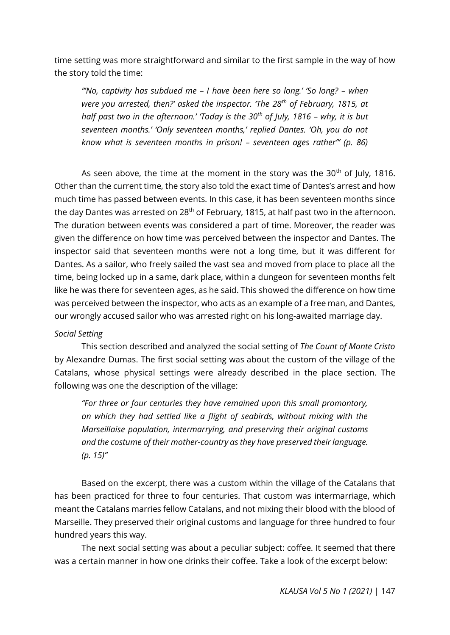time setting was more straightforward and similar to the first sample in the way of how the story told the time:

*"'No, captivity has subdued me – I have been here so long.' 'So long? – when were you arrested, then?' asked the inspector. 'The 28th of February, 1815, at half past two in the afternoon.' 'Today is the 30th of July, 1816 – why, it is but seventeen months.' 'Only seventeen months,' replied Dantes. 'Oh, you do not know what is seventeen months in prison! – seventeen ages rather'" (p. 86)*

As seen above, the time at the moment in the story was the  $30<sup>th</sup>$  of July, 1816. Other than the current time, the story also told the exact time of Dantes's arrest and how much time has passed between events. In this case, it has been seventeen months since the day Dantes was arrested on  $28<sup>th</sup>$  of February, 1815, at half past two in the afternoon. The duration between events was considered a part of time. Moreover, the reader was given the difference on how time was perceived between the inspector and Dantes. The inspector said that seventeen months were not a long time, but it was different for Dantes. As a sailor, who freely sailed the vast sea and moved from place to place all the time, being locked up in a same, dark place, within a dungeon for seventeen months felt like he was there for seventeen ages, as he said. This showed the difference on how time was perceived between the inspector, who acts as an example of a free man, and Dantes, our wrongly accused sailor who was arrested right on his long-awaited marriage day.

# *Social Setting*

This section described and analyzed the social setting of *The Count of Monte Cristo*  by Alexandre Dumas. The first social setting was about the custom of the village of the Catalans, whose physical settings were already described in the place section. The following was one the description of the village:

*"For three or four centuries they have remained upon this small promontory, on which they had settled like a flight of seabirds, without mixing with the Marseillaise population, intermarrying, and preserving their original customs and the costume of their mother-country as they have preserved their language. (p. 15)"*

Based on the excerpt, there was a custom within the village of the Catalans that has been practiced for three to four centuries. That custom was intermarriage, which meant the Catalans marries fellow Catalans, and not mixing their blood with the blood of Marseille. They preserved their original customs and language for three hundred to four hundred years this way.

The next social setting was about a peculiar subject: coffee. It seemed that there was a certain manner in how one drinks their coffee. Take a look of the excerpt below: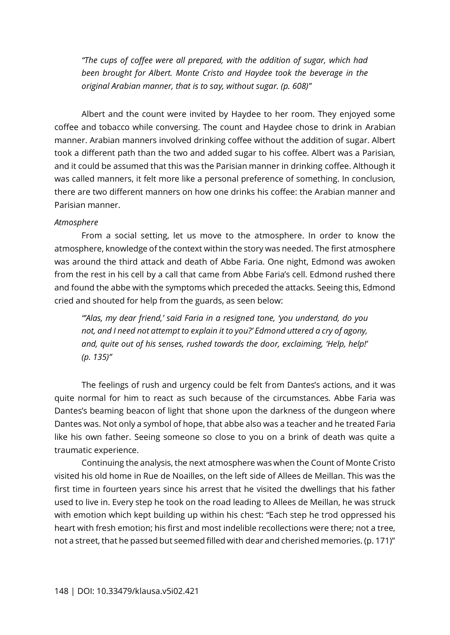*"The cups of coffee were all prepared, with the addition of sugar, which had been brought for Albert. Monte Cristo and Haydee took the beverage in the original Arabian manner, that is to say, without sugar. (p. 608)"*

Albert and the count were invited by Haydee to her room. They enjoyed some coffee and tobacco while conversing. The count and Haydee chose to drink in Arabian manner. Arabian manners involved drinking coffee without the addition of sugar. Albert took a different path than the two and added sugar to his coffee. Albert was a Parisian, and it could be assumed that this was the Parisian manner in drinking coffee. Although it was called manners, it felt more like a personal preference of something. In conclusion, there are two different manners on how one drinks his coffee: the Arabian manner and Parisian manner.

### *Atmosphere*

From a social setting, let us move to the atmosphere. In order to know the atmosphere, knowledge of the context within the story was needed. The first atmosphere was around the third attack and death of Abbe Faria. One night, Edmond was awoken from the rest in his cell by a call that came from Abbe Faria's cell. Edmond rushed there and found the abbe with the symptoms which preceded the attacks. Seeing this, Edmond cried and shouted for help from the guards, as seen below:

*"'Alas, my dear friend,' said Faria in a resigned tone, 'you understand, do you not, and I need not attempt to explain it to you?' Edmond uttered a cry of agony, and, quite out of his senses, rushed towards the door, exclaiming, 'Help, help!' (p. 135)"*

The feelings of rush and urgency could be felt from Dantes's actions, and it was quite normal for him to react as such because of the circumstances. Abbe Faria was Dantes's beaming beacon of light that shone upon the darkness of the dungeon where Dantes was. Not only a symbol of hope, that abbe also was a teacher and he treated Faria like his own father. Seeing someone so close to you on a brink of death was quite a traumatic experience.

Continuing the analysis, the next atmosphere was when the Count of Monte Cristo visited his old home in Rue de Noailles, on the left side of Allees de Meillan. This was the first time in fourteen years since his arrest that he visited the dwellings that his father used to live in. Every step he took on the road leading to Allees de Meillan, he was struck with emotion which kept building up within his chest: "Each step he trod oppressed his heart with fresh emotion; his first and most indelible recollections were there; not a tree, not a street, that he passed but seemed filled with dear and cherished memories. (p. 171)"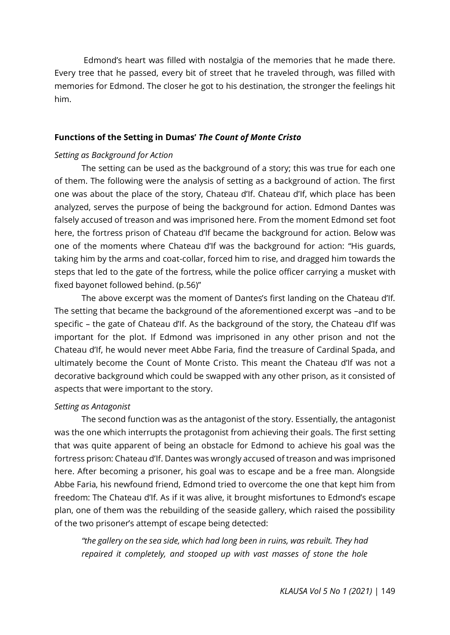Edmond's heart was filled with nostalgia of the memories that he made there. Every tree that he passed, every bit of street that he traveled through, was filled with memories for Edmond. The closer he got to his destination, the stronger the feelings hit him.

#### **Functions of the Setting in Dumas'** *The Count of Monte Cristo*

#### *Setting as Background for Action*

The setting can be used as the background of a story; this was true for each one of them. The following were the analysis of setting as a background of action. The first one was about the place of the story, Chateau d'If. Chateau d'If, which place has been analyzed, serves the purpose of being the background for action. Edmond Dantes was falsely accused of treason and was imprisoned here. From the moment Edmond set foot here, the fortress prison of Chateau d'If became the background for action. Below was one of the moments where Chateau d'If was the background for action: "His guards, taking him by the arms and coat-collar, forced him to rise, and dragged him towards the steps that led to the gate of the fortress, while the police officer carrying a musket with fixed bayonet followed behind. (p.56)"

The above excerpt was the moment of Dantes's first landing on the Chateau d'If. The setting that became the background of the aforementioned excerpt was –and to be specific – the gate of Chateau d'If. As the background of the story, the Chateau d'If was important for the plot. If Edmond was imprisoned in any other prison and not the Chateau d'If, he would never meet Abbe Faria, find the treasure of Cardinal Spada, and ultimately become the Count of Monte Cristo. This meant the Chateau d'If was not a decorative background which could be swapped with any other prison, as it consisted of aspects that were important to the story.

#### *Setting as Antagonist*

The second function was as the antagonist of the story. Essentially, the antagonist was the one which interrupts the protagonist from achieving their goals. The first setting that was quite apparent of being an obstacle for Edmond to achieve his goal was the fortress prison: Chateau d'If. Dantes was wrongly accused of treason and was imprisoned here. After becoming a prisoner, his goal was to escape and be a free man. Alongside Abbe Faria, his newfound friend, Edmond tried to overcome the one that kept him from freedom: The Chateau d'If. As if it was alive, it brought misfortunes to Edmond's escape plan, one of them was the rebuilding of the seaside gallery, which raised the possibility of the two prisoner's attempt of escape being detected:

*"the gallery on the sea side, which had long been in ruins, was rebuilt. They had repaired it completely, and stooped up with vast masses of stone the hole*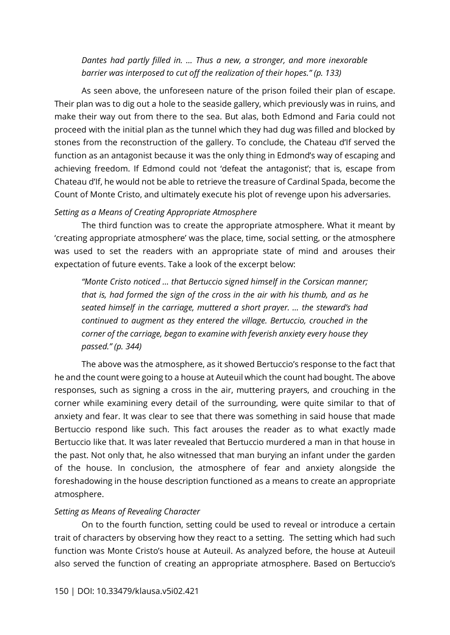*Dantes had partly filled in. … Thus a new, a stronger, and more inexorable barrier was interposed to cut off the realization of their hopes." (p. 133)*

As seen above, the unforeseen nature of the prison foiled their plan of escape. Their plan was to dig out a hole to the seaside gallery, which previously was in ruins, and make their way out from there to the sea. But alas, both Edmond and Faria could not proceed with the initial plan as the tunnel which they had dug was filled and blocked by stones from the reconstruction of the gallery. To conclude, the Chateau d'If served the function as an antagonist because it was the only thing in Edmond's way of escaping and achieving freedom. If Edmond could not 'defeat the antagonist'; that is, escape from Chateau d'If, he would not be able to retrieve the treasure of Cardinal Spada, become the Count of Monte Cristo, and ultimately execute his plot of revenge upon his adversaries.

### *Setting as a Means of Creating Appropriate Atmosphere*

The third function was to create the appropriate atmosphere. What it meant by 'creating appropriate atmosphere' was the place, time, social setting, or the atmosphere was used to set the readers with an appropriate state of mind and arouses their expectation of future events. Take a look of the excerpt below:

*"Monte Cristo noticed … that Bertuccio signed himself in the Corsican manner; that is, had formed the sign of the cross in the air with his thumb, and as he seated himself in the carriage, muttered a short prayer. … the steward's had continued to augment as they entered the village. Bertuccio, crouched in the corner of the carriage, began to examine with feverish anxiety every house they passed." (p. 344)*

The above was the atmosphere, as it showed Bertuccio's response to the fact that he and the count were going to a house at Auteuil which the count had bought. The above responses, such as signing a cross in the air, muttering prayers, and crouching in the corner while examining every detail of the surrounding, were quite similar to that of anxiety and fear. It was clear to see that there was something in said house that made Bertuccio respond like such. This fact arouses the reader as to what exactly made Bertuccio like that. It was later revealed that Bertuccio murdered a man in that house in the past. Not only that, he also witnessed that man burying an infant under the garden of the house. In conclusion, the atmosphere of fear and anxiety alongside the foreshadowing in the house description functioned as a means to create an appropriate atmosphere.

# *Setting as Means of Revealing Character*

On to the fourth function, setting could be used to reveal or introduce a certain trait of characters by observing how they react to a setting. The setting which had such function was Monte Cristo's house at Auteuil. As analyzed before, the house at Auteuil also served the function of creating an appropriate atmosphere. Based on Bertuccio's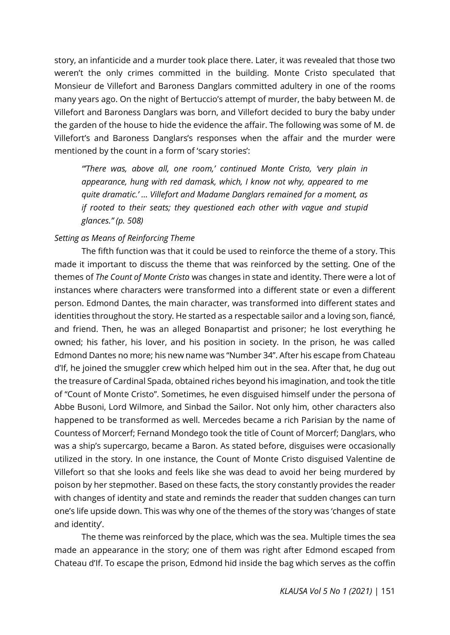story, an infanticide and a murder took place there. Later, it was revealed that those two weren't the only crimes committed in the building. Monte Cristo speculated that Monsieur de Villefort and Baroness Danglars committed adultery in one of the rooms many years ago. On the night of Bertuccio's attempt of murder, the baby between M. de Villefort and Baroness Danglars was born, and Villefort decided to bury the baby under the garden of the house to hide the evidence the affair. The following was some of M. de Villefort's and Baroness Danglars's responses when the affair and the murder were mentioned by the count in a form of 'scary stories':

*"'There was, above all, one room,' continued Monte Cristo, 'very plain in appearance, hung with red damask, which, I know not why, appeared to me quite dramatic.' … Villefort and Madame Danglars remained for a moment, as if rooted to their seats; they questioned each other with vague and stupid glances." (p. 508)*

### *Setting as Means of Reinforcing Theme*

The fifth function was that it could be used to reinforce the theme of a story. This made it important to discuss the theme that was reinforced by the setting. One of the themes of *The Count of Monte Cristo* was changes in state and identity. There were a lot of instances where characters were transformed into a different state or even a different person. Edmond Dantes, the main character, was transformed into different states and identities throughout the story. He started as a respectable sailor and a loving son, fiancé, and friend. Then, he was an alleged Bonapartist and prisoner; he lost everything he owned; his father, his lover, and his position in society. In the prison, he was called Edmond Dantes no more; his new name was "Number 34". After his escape from Chateau d'If, he joined the smuggler crew which helped him out in the sea. After that, he dug out the treasure of Cardinal Spada, obtained riches beyond his imagination, and took the title of "Count of Monte Cristo". Sometimes, he even disguised himself under the persona of Abbe Busoni, Lord Wilmore, and Sinbad the Sailor. Not only him, other characters also happened to be transformed as well. Mercedes became a rich Parisian by the name of Countess of Morcerf; Fernand Mondego took the title of Count of Morcerf; Danglars, who was a ship's supercargo, became a Baron. As stated before, disguises were occasionally utilized in the story. In one instance, the Count of Monte Cristo disguised Valentine de Villefort so that she looks and feels like she was dead to avoid her being murdered by poison by her stepmother. Based on these facts, the story constantly provides the reader with changes of identity and state and reminds the reader that sudden changes can turn one's life upside down. This was why one of the themes of the story was 'changes of state and identity'.

The theme was reinforced by the place, which was the sea. Multiple times the sea made an appearance in the story; one of them was right after Edmond escaped from Chateau d'If. To escape the prison, Edmond hid inside the bag which serves as the coffin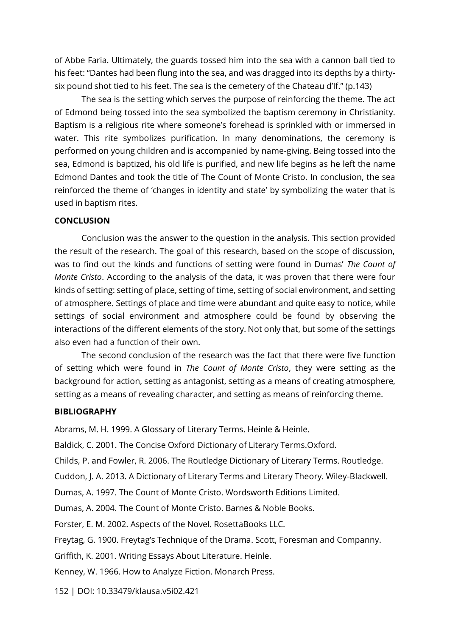of Abbe Faria. Ultimately, the guards tossed him into the sea with a cannon ball tied to his feet: "Dantes had been flung into the sea, and was dragged into its depths by a thirtysix pound shot tied to his feet. The sea is the cemetery of the Chateau d'If." (p.143)

The sea is the setting which serves the purpose of reinforcing the theme. The act of Edmond being tossed into the sea symbolized the baptism ceremony in Christianity. Baptism is a religious rite where someone's forehead is sprinkled with or immersed in water. This rite symbolizes purification. In many denominations, the ceremony is performed on young children and is accompanied by name-giving. Being tossed into the sea, Edmond is baptized, his old life is purified, and new life begins as he left the name Edmond Dantes and took the title of The Count of Monte Cristo. In conclusion, the sea reinforced the theme of 'changes in identity and state' by symbolizing the water that is used in baptism rites.

#### **CONCLUSION**

Conclusion was the answer to the question in the analysis. This section provided the result of the research. The goal of this research, based on the scope of discussion, was to find out the kinds and functions of setting were found in Dumas' *The Count of Monte Cristo*. According to the analysis of the data, it was proven that there were four kinds of setting: setting of place, setting of time, setting of social environment, and setting of atmosphere. Settings of place and time were abundant and quite easy to notice, while settings of social environment and atmosphere could be found by observing the interactions of the different elements of the story. Not only that, but some of the settings also even had a function of their own.

The second conclusion of the research was the fact that there were five function of setting which were found in *The Count of Monte Cristo*, they were setting as the background for action, setting as antagonist, setting as a means of creating atmosphere, setting as a means of revealing character, and setting as means of reinforcing theme.

#### **BIBLIOGRAPHY**

Abrams, M. H. 1999. A Glossary of Literary Terms. Heinle & Heinle.

Baldick, C. 2001. The Concise Oxford Dictionary of Literary Terms.Oxford.

Childs, P. and Fowler, R. 2006. The Routledge Dictionary of Literary Terms. Routledge.

Cuddon, J. A. 2013. A Dictionary of Literary Terms and Literary Theory. Wiley-Blackwell.

Dumas, A. 1997. The Count of Monte Cristo. Wordsworth Editions Limited.

Dumas, A. 2004. The Count of Monte Cristo. Barnes & Noble Books.

Forster, E. M. 2002. Aspects of the Novel. RosettaBooks LLC.

Freytag, G. 1900. Freytag's Technique of the Drama. Scott, Foresman and Companny.

Griffith, K. 2001. Writing Essays About Literature. Heinle.

Kenney, W. 1966. How to Analyze Fiction. Monarch Press.

152 | DOI: 10.33479/klausa.v5i02.421